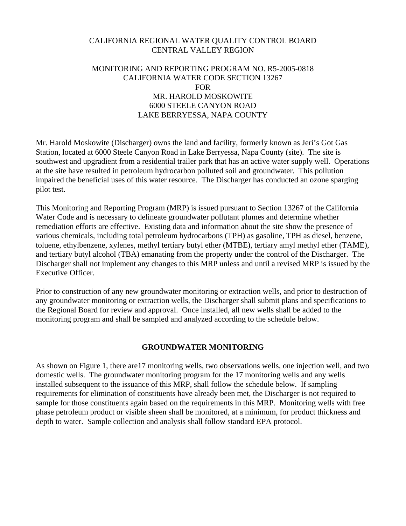## CALIFORNIA REGIONAL WATER QUALITY CONTROL BOARD CENTRAL VALLEY REGION

## MONITORING AND REPORTING PROGRAM NO. R5-2005-0818 CALIFORNIA WATER CODE SECTION 13267 FOR MR. HAROLD MOSKOWITE 6000 STEELE CANYON ROAD LAKE BERRYESSA, NAPA COUNTY

Mr. Harold Moskowite (Discharger) owns the land and facility, formerly known as Jeri's Got Gas Station, located at 6000 Steele Canyon Road in Lake Berryessa, Napa County (site). The site is southwest and upgradient from a residential trailer park that has an active water supply well. Operations at the site have resulted in petroleum hydrocarbon polluted soil and groundwater. This pollution impaired the beneficial uses of this water resource. The Discharger has conducted an ozone sparging pilot test.

This Monitoring and Reporting Program (MRP) is issued pursuant to Section 13267 of the California Water Code and is necessary to delineate groundwater pollutant plumes and determine whether remediation efforts are effective. Existing data and information about the site show the presence of various chemicals, including total petroleum hydrocarbons (TPH) as gasoline, TPH as diesel, benzene, toluene, ethylbenzene, xylenes, methyl tertiary butyl ether (MTBE), tertiary amyl methyl ether (TAME), and tertiary butyl alcohol (TBA) emanating from the property under the control of the Discharger. The Discharger shall not implement any changes to this MRP unless and until a revised MRP is issued by the Executive Officer.

Prior to construction of any new groundwater monitoring or extraction wells, and prior to destruction of any groundwater monitoring or extraction wells, the Discharger shall submit plans and specifications to the Regional Board for review and approval. Once installed, all new wells shall be added to the monitoring program and shall be sampled and analyzed according to the schedule below.

## **GROUNDWATER MONITORING**

As shown on Figure 1, there are17 monitoring wells, two observations wells, one injection well, and two domestic wells. The groundwater monitoring program for the 17 monitoring wells and any wells installed subsequent to the issuance of this MRP, shall follow the schedule below. If sampling requirements for elimination of constituents have already been met, the Discharger is not required to sample for those constituents again based on the requirements in this MRP. Monitoring wells with free phase petroleum product or visible sheen shall be monitored, at a minimum, for product thickness and depth to water. Sample collection and analysis shall follow standard EPA protocol.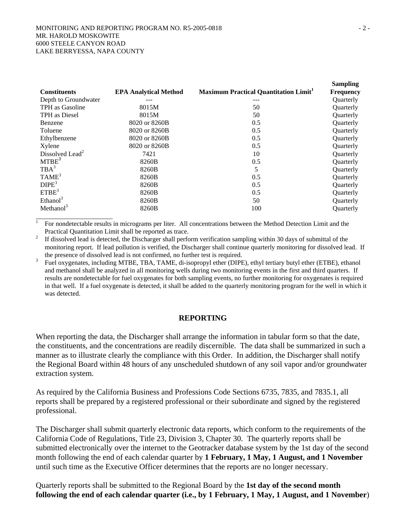|                             |                              |                                             | <b>Sampling</b>  |
|-----------------------------|------------------------------|---------------------------------------------|------------------|
| <b>Constituents</b>         | <b>EPA Analytical Method</b> | <b>Maximum Practical Quantitation Limit</b> | <b>Frequency</b> |
| Depth to Groundwater        |                              | ---                                         | Quarterly        |
| TPH as Gasoline             | 8015M                        | 50                                          | <b>Ouarterly</b> |
| TPH as Diesel               | 8015M                        | 50                                          | Quarterly        |
| Benzene                     | 8020 or 8260B                | 0.5                                         | Quarterly        |
| Toluene                     | 8020 or 8260B                | 0.5                                         | Quarterly        |
| Ethylbenzene                | 8020 or 8260B                | 0.5                                         | Quarterly        |
| Xylene                      | 8020 or 8260B                | 0.5                                         | Quarterly        |
| Dissolved Lead <sup>2</sup> | 7421                         | 10                                          | Quarterly        |
| MTBE <sup>3</sup>           | 8260B                        | 0.5                                         | Quarterly        |
| $TBA^3$                     | 8260B                        | 5                                           | Quarterly        |
| TAME <sup>3</sup>           | 8260B                        | 0.5                                         | Quarterly        |
| DIPE <sup>3</sup>           | 8260B                        | 0.5                                         | Quarterly        |
| ETBE <sup>3</sup>           | 8260B                        | 0.5                                         | <b>Ouarterly</b> |
| Ethanol <sup>3</sup>        | 8260B                        | 50                                          | Quarterly        |
| Methanol $3$                | 8260B                        | 100                                         | Quarterly        |
|                             |                              |                                             |                  |

 $1$  For nondetectable results in micrograms per liter. All concentrations between the Method Detection Limit and the Practical Quantitation Limit shall be reported as trace.<br>If dissolved lead is detected, the Discharger shall perform verification sampling within 30 days of submittal of the

monitoring report. If lead pollution is verified, the Discharger shall continue quarterly monitoring for dissolved lead. If

the presence of dissolved lead is not confirmed, no further test is required.<br><sup>3</sup> Fuel oxygenates, including MTBE, TBA, TAME, di-isopropyl ether (DIPE), ethyl tertiary butyl ether (ETBE), ethanol and methanol shall be analyzed in all monitoring wells during two monitoring events in the first and third quarters. If results are nondetectable for fuel oxygenates for both sampling events, no further monitoring for oxygenates is required in that well. If a fuel oxygenate is detected, it shall be added to the quarterly monitoring program for the well in which it was detected.

## **REPORTING**

When reporting the data, the Discharger shall arrange the information in tabular form so that the date, the constituents, and the concentrations are readily discernible. The data shall be summarized in such a manner as to illustrate clearly the compliance with this Order. In addition, the Discharger shall notify the Regional Board within 48 hours of any unscheduled shutdown of any soil vapor and/or groundwater extraction system.

As required by the California Business and Professions Code Sections 6735, 7835, and 7835.1, all reports shall be prepared by a registered professional or their subordinate and signed by the registered professional.

The Discharger shall submit quarterly electronic data reports, which conform to the requirements of the California Code of Regulations, Title 23, Division 3, Chapter 30. The quarterly reports shall be submitted electronically over the internet to the Geotracker database system by the 1st day of the second month following the end of each calendar quarter by **1 February, 1 May, 1 August, and 1 November** until such time as the Executive Officer determines that the reports are no longer necessary.

Quarterly reports shall be submitted to the Regional Board by the **1st day of the second month following the end of each calendar quarter (i.e., by 1 February, 1 May, 1 August, and 1 November**)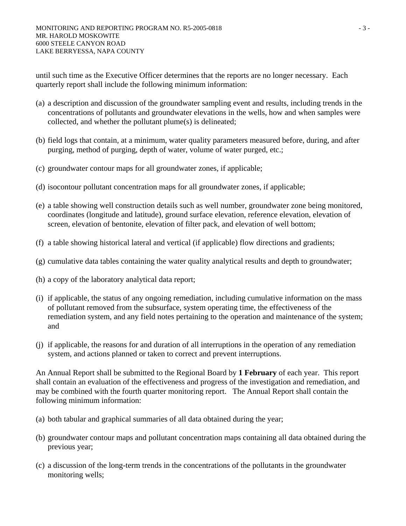until such time as the Executive Officer determines that the reports are no longer necessary. Each quarterly report shall include the following minimum information:

- (a) a description and discussion of the groundwater sampling event and results, including trends in the concentrations of pollutants and groundwater elevations in the wells, how and when samples were collected, and whether the pollutant plume(s) is delineated;
- (b) field logs that contain, at a minimum, water quality parameters measured before, during, and after purging, method of purging, depth of water, volume of water purged, etc.;
- (c) groundwater contour maps for all groundwater zones, if applicable;
- (d) isocontour pollutant concentration maps for all groundwater zones, if applicable;
- (e) a table showing well construction details such as well number, groundwater zone being monitored, coordinates (longitude and latitude), ground surface elevation, reference elevation, elevation of screen, elevation of bentonite, elevation of filter pack, and elevation of well bottom;
- (f) a table showing historical lateral and vertical (if applicable) flow directions and gradients;
- (g) cumulative data tables containing the water quality analytical results and depth to groundwater;
- (h) a copy of the laboratory analytical data report;
- (i) if applicable, the status of any ongoing remediation, including cumulative information on the mass of pollutant removed from the subsurface, system operating time, the effectiveness of the remediation system, and any field notes pertaining to the operation and maintenance of the system; and
- (j) if applicable, the reasons for and duration of all interruptions in the operation of any remediation system, and actions planned or taken to correct and prevent interruptions.

An Annual Report shall be submitted to the Regional Board by **1 February** of each year. This report shall contain an evaluation of the effectiveness and progress of the investigation and remediation, and may be combined with the fourth quarter monitoring report. The Annual Report shall contain the following minimum information:

- (a) both tabular and graphical summaries of all data obtained during the year;
- (b) groundwater contour maps and pollutant concentration maps containing all data obtained during the previous year;
- (c) a discussion of the long-term trends in the concentrations of the pollutants in the groundwater monitoring wells;